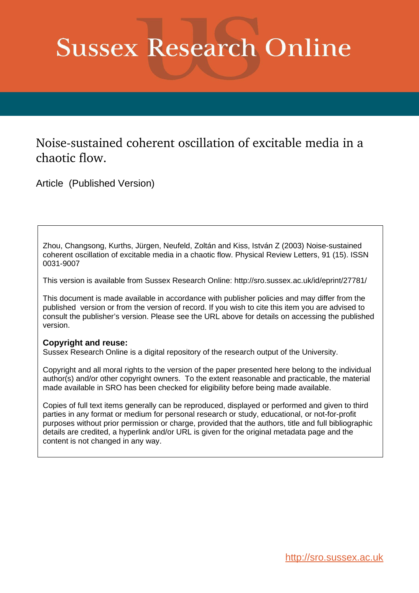## **Sussex Research Online**

## Noise-sustained coherent oscillation of excitable media in a chaotic flow.

Article (Published Version)

Zhou, Changsong, Kurths, Jürgen, Neufeld, Zoltán and Kiss, István Z (2003) Noise-sustained coherent oscillation of excitable media in a chaotic flow. Physical Review Letters, 91 (15). ISSN 0031-9007

This version is available from Sussex Research Online: http://sro.sussex.ac.uk/id/eprint/27781/

This document is made available in accordance with publisher policies and may differ from the published version or from the version of record. If you wish to cite this item you are advised to consult the publisher's version. Please see the URL above for details on accessing the published version.

## **Copyright and reuse:**

Sussex Research Online is a digital repository of the research output of the University.

Copyright and all moral rights to the version of the paper presented here belong to the individual author(s) and/or other copyright owners. To the extent reasonable and practicable, the material made available in SRO has been checked for eligibility before being made available.

Copies of full text items generally can be reproduced, displayed or performed and given to third parties in any format or medium for personal research or study, educational, or not-for-profit purposes without prior permission or charge, provided that the authors, title and full bibliographic details are credited, a hyperlink and/or URL is given for the original metadata page and the content is not changed in any way.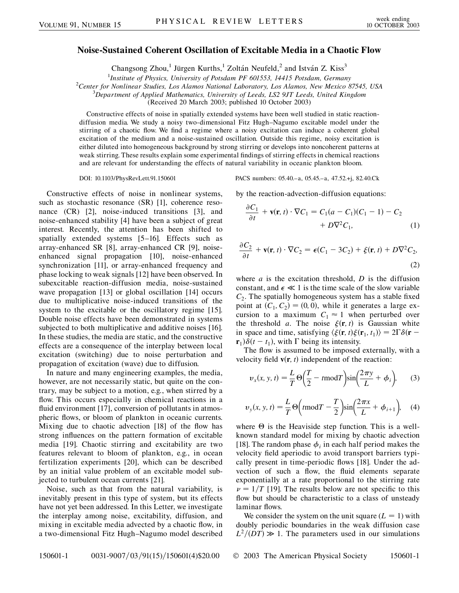## **Noise-Sustained Coherent Oscillation of Excitable Media in a Chaotic Flow**

Changsong Zhou,<sup>1</sup> Jürgen Kurths,<sup>1</sup> Zoltán Neufeld,<sup>2</sup> and István Z. Kiss<sup>3</sup>

<sup>1</sup> *Institute of Physics, University of Potsdam PF 601553, 14415 Potsdam, Germany*<br><sup>2</sup> Center for Nonlinear Studies, Los Alamos National Laboratory, Los Alamos, New Mexico S

*Center for Nonlinear Studies, Los Alamos National Laboratory, Los Alamos, New Mexico 87545, USA* <sup>3</sup>

*Department of Applied Mathematics, University of Leeds, LS2 9JT Leeds, United Kingdom*

(Received 20 March 2003; published 10 October 2003)

Constructive effects of noise in spatially extended systems have been well studied in static reactiondiffusion media. We study a noisy two-dimensional Fitz Hugh–Nagumo excitable model under the stirring of a chaotic flow. We find a regime where a noisy excitation can induce a coherent global excitation of the medium and a noise-sustained oscillation. Outside this regime, noisy excitation is either diluted into homogeneous background by strong stirring or develops into noncoherent patterns at weak stirring. These results explain some experimental findings of stirring effects in chemical reactions and are relevant for understanding the effects of natural variability in oceanic plankton bloom.

Constructive effects of noise in nonlinear systems, such as stochastic resonance (SR) [1], coherence resonance (CR) [2], noise-induced transitions [3], and noise-enhanced stability [4] have been a subject of great interest. Recently, the attention has been shifted to spatially extended systems [5–16]. Effects such as array-enhanced SR [8], array-enhanced CR [9], noiseenhanced signal propagation [10], noise-enhanced synchronization [11], or array-enhanced frequency and phase locking to weak signals [12] have been observed. In subexcitable reaction-diffusion media, noise-sustained wave propagation [13] or global oscillation [14] occurs due to multiplicative noise-induced transitions of the system to the excitable or the oscillatory regime [15]. Double noise effects have been demonstrated in systems subjected to both multiplicative and additive noises [16]. In these studies, the media are static, and the constructive effects are a consequence of the interplay between local excitation (switching) due to noise perturbation and propagation of excitation (wave) due to diffusion.

In nature and many engineering examples, the media, however, are not necessarily static, but quite on the contrary, may be subject to a motion, e.g., when stirred by a flow. This occurs especially in chemical reactions in a fluid environment [17], conversion of pollutants in atmospheric flows, or bloom of plankton in oceanic currents. Mixing due to chaotic advection [18] of the flow has strong influences on the pattern formation of excitable media [19]. Chaotic stirring and excitability are two features relevant to bloom of plankton, e.g., in ocean fertilization experiments [20], which can be described by an initial value problem of an excitable model subjected to turbulent ocean currents [21].

Noise, such as that from the natural variability, is inevitably present in this type of system, but its effects have not yet been addressed. In this Letter, we investigate the interplay among noise, excitability, diffusion, and mixing in excitable media advected by a chaotic flow, in a two-dimensional Fitz Hugh–Nagumo model described

DOI: 10.1103/PhysRevLett.91.150601 PACS numbers: 05.40.–a, 05.45.–a, 47.52.+j, 82.40.Ck

by the reaction-advection-diffusion equations:

$$
\frac{\partial C_1}{\partial t} + \mathbf{v}(\mathbf{r}, t) \cdot \nabla C_1 = C_1 (a - C_1)(C_1 - 1) - C_2
$$
  
+ 
$$
D \nabla^2 C_1, \tag{1}
$$

$$
\frac{\partial C_2}{\partial t} + \mathbf{v}(\mathbf{r}, t) \cdot \nabla C_2 = \epsilon (C_1 - 3C_2) + \xi(\mathbf{r}, t) + D \nabla^2 C_2,
$$
\n(2)

where *a* is the excitation threshold, *D* is the diffusion constant, and  $\epsilon \ll 1$  is the time scale of the slow variable  $C_2$ . The spatially homogeneous system has a stable fixed point at  $(C_1, C_2) = (0, 0)$ , while it generates a large excursion to a maximum  $C_1 \approx 1$  when perturbed over the threshold *a*. The noise  $\xi(\mathbf{r}, t)$  is Gaussian white in space and time, satisfying  $\langle \xi(\mathbf{r}, t) \xi(\mathbf{r}_1, t_1) \rangle = 2\Gamma \delta(\mathbf{r} \mathbf{r}_1\delta(t - t_1)$ , with  $\Gamma$  being its intensity.

The flow is assumed to be imposed externally, with a velocity field  $\mathbf{v}(\mathbf{r}, t)$  independent of the reaction:

$$
v_x(x, y, t) = \frac{L}{T} \Theta \left( \frac{T}{2} - t \text{mod} T \right) \sin \left( \frac{2\pi y}{L} + \phi_i \right), \tag{3}
$$

$$
v_y(x, y, t) = \frac{L}{T} \Theta\left(t \mod T - \frac{T}{2}\right) \sin\left(\frac{2\pi x}{L} + \phi_{i+1}\right), \quad (4)
$$

where  $\Theta$  is the Heaviside step function. This is a wellknown standard model for mixing by chaotic advection [18]. The random phase  $\phi_i$  in each half period makes the velocity field aperiodic to avoid transport barriers typically present in time-periodic flows [18]. Under the advection of such a flow, the fluid elements separate exponentially at a rate proportional to the stirring rate  $\nu = 1/T$  [19]. The results below are not specific to this flow but should be characteristic to a class of unsteady laminar flows.

We consider the system on the unit square  $(L = 1)$  with doubly periodic boundaries in the weak diffusion case  $L^2 / (DT) \gg 1$ . The parameters used in our simulations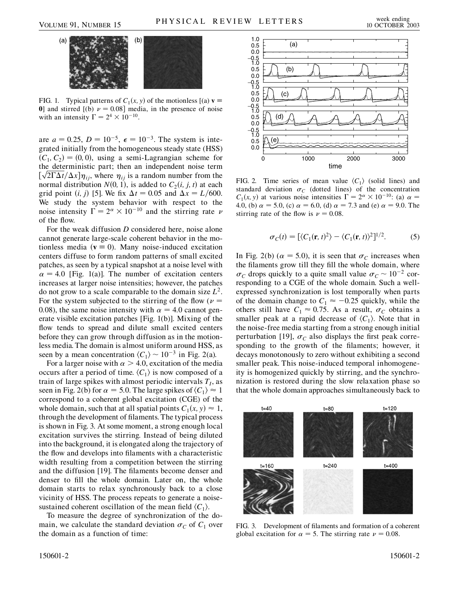

FIG. 1. Typical patterns of  $C_1(x, y)$  of the motionless  $[(a) \mathbf{v}]$ **0**] and stirred  $[(b)$   $\nu = 0.08]$  media, in the presence of noise with an intensity  $\Gamma = 2^4 \times 10^{-10}$ .

are  $a = 0.25$ ,  $D = 10^{-5}$ ,  $\epsilon = 10^{-3}$ . The system is integrated initially from the homogeneous steady state (HSS)  $(C_1, C_2) = (0, 0)$ , using a semi-Lagrangian scheme for the deterministic part; then an independent noise term the deterministic part; then an independent noise term  $[\sqrt{2\Gamma\Delta t}/\Delta x]\eta_{ij}$ , where  $\eta_{ij}$  is a random number from the normal distribution  $N(0, 1)$ , is added to  $C_2(i, j, t)$  at each grid point  $(i, j)$  [5]. We fix  $\Delta t = 0.05$  and  $\Delta x = L/600$ . We study the system behavior with respect to the noise intensity  $\Gamma = 2^{\alpha} \times 10^{-10}$  and the stirring rate  $\nu$ of the flow.

For the weak diffusion *D* considered here, noise alone cannot generate large-scale coherent behavior in the motionless media ( $v \equiv 0$ ). Many noise-induced excitation centers diffuse to form random patterns of small excited patches, as seen by a typical snapshot at a noise level with  $\alpha = 4.0$  [Fig. 1(a)]. The number of excitation centers increases at larger noise intensities; however, the patches do not grow to a scale comparable to the domain size *L*2. For the system subjected to the stirring of the flow ( $\nu$  = 0.08), the same noise intensity with  $\alpha = 4.0$  cannot generate visible excitation patches [Fig. 1(b)]. Mixing of the flow tends to spread and dilute small excited centers before they can grow through diffusion as in the motionless media. The domain is almost uniform around HSS, as seen by a mean concentration  $\langle C_1 \rangle \sim 10^{-3}$  in Fig. 2(a).

For a larger noise with  $\alpha > 4.0$ , excitation of the media occurs after a period of time.  $\langle C_1 \rangle$  is now composed of a train of large spikes with almost periodic intervals  $T_I$ , as seen in Fig. 2(b) for  $\alpha = 5.0$ . The large spikes of  $\langle C_1 \rangle \approx 1$ correspond to a coherent global excitation (CGE) of the whole domain, such that at all spatial points  $C_1(x, y) \approx 1$ , through the development of filaments. The typical process is shown in Fig. 3. At some moment, a strong enough local excitation survives the stirring. Instead of being diluted into the background, it is elongated along the trajectory of the flow and develops into filaments with a characteristic width resulting from a competition between the stirring and the diffusion [19]. The filaments become denser and denser to fill the whole domain. Later on, the whole domain starts to relax synchronously back to a close vicinity of HSS. The process repeats to generate a noisesustained coherent oscillation of the mean field  $\langle C_1 \rangle$ .

To measure the degree of synchronization of the domain, we calculate the standard deviation  $\sigma_C$  of  $C_1$  over the domain as a function of time:



FIG. 2. Time series of mean value  $\langle C_1 \rangle$  (solid lines) and standard deviation  $\sigma_C$  (dotted lines) of the concentration  $C_1(x, y)$  at various noise intensities  $\Gamma = 2^{\alpha} \times 10^{-10}$ : (a)  $\alpha =$ 4.0, (b)  $\alpha = 5.0$ , (c)  $\alpha = 6.0$ , (d)  $\alpha = 7.3$  and (e)  $\alpha = 9.0$ . The stirring rate of the flow is  $\nu = 0.08$ .

$$
\sigma_C(t) = [\langle C_1(\mathbf{r}, t)^2 \rangle - \langle C_1(\mathbf{r}, t) \rangle^2]^{1/2}.
$$
 (5)

In Fig. 2(b) ( $\alpha = 5.0$ ), it is seen that  $\sigma_C$  increases when the filaments grow till they fill the whole domain, where  $\sigma_C$  drops quickly to a quite small value  $\sigma_C \sim 10^{-2}$  corresponding to a CGE of the whole domain. Such a wellexpressed synchronization is lost temporally when parts of the domain change to  $C_1 \approx -0.25$  quickly, while the others still have  $C_1 \approx 0.75$ . As a result,  $\sigma_C$  obtains a smaller peak at a rapid decrease of  $\langle C_1 \rangle$ . Note that in the noise-free media starting from a strong enough initial perturbation [19],  $\sigma_C$  also displays the first peak corresponding to the growth of the filaments; however, it decays monotonously to zero without exhibiting a second smaller peak. This noise-induced temporal inhomogeneity is homogenized quickly by stirring, and the synchronization is restored during the slow relaxation phase so that the whole domain approaches simultaneously back to



FIG. 3. Development of filaments and formation of a coherent global excitation for  $\alpha = 5$ . The stirring rate  $\nu = 0.08$ .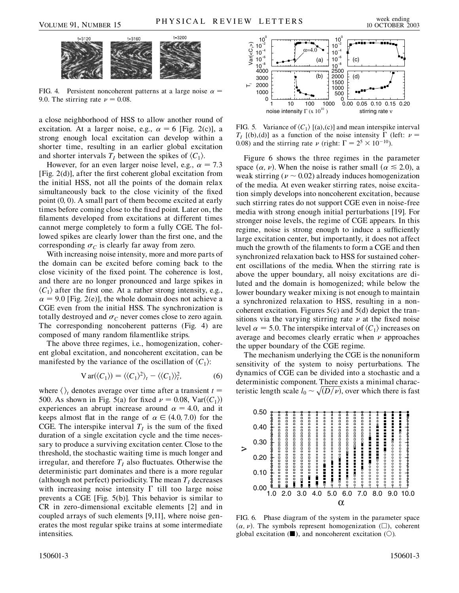

FIG. 4. Persistent noncoherent patterns at a large noise  $\alpha$  = 9.0. The stirring rate  $\nu = 0.08$ .  $0 \begin{bmatrix} 0 & 0 & 1000 \\ 1 & 10 & 100 \\ 0 & 1 & 100 \end{bmatrix}$ 

a close neighborhood of HSS to allow another round of excitation. At a larger noise, e.g.,  $\alpha = 6$  [Fig. 2(c)], a strong enough local excitation can develop within a shorter time, resulting in an earlier global excitation and shorter intervals  $T_I$  between the spikes of  $\langle C_1 \rangle$ .

However, for an even larger noise level, e.g.,  $\alpha = 7.3$ [Fig. 2(d)], after the first coherent global excitation from the initial HSS, not all the points of the domain relax simultaneously back to the close vicinity of the fixed point (0*;* 0). A small part of them become excited at early times before coming close to the fixed point. Later on, the filaments developed from excitations at different times cannot merge completely to form a fully CGE. The followed spikes are clearly lower than the first one, and the corresponding  $\sigma_C$  is clearly far away from zero.

With increasing noise intensity, more and more parts of the domain can be excited before coming back to the close vicinity of the fixed point. The coherence is lost, and there are no longer pronounced and large spikes in  $\langle C_1 \rangle$  after the first one. At a rather strong intensity, e.g.,  $\alpha = 9.0$  [Fig. 2(e)], the whole domain does not achieve a CGE even from the initial HSS. The synchronization is totally destroyed and  $\sigma_C$  never comes close to zero again. The corresponding noncoherent patterns (Fig. 4) are composed of many random filamentlike strips.

The above three regimes, i.e., homogenization, coherent global excitation, and noncoherent excitation, can be manifested by the variance of the oscillation of  $\langle C_1 \rangle$ :

$$
Var(\langle C_1 \rangle) = \langle \langle C_1 \rangle^2 \rangle_t - \langle \langle C_1 \rangle \rangle_t^2, \tag{6}
$$

where  $\langle \rangle_t$  denotes average over time after a transient  $t =$ 500. As shown in Fig. 5(a) for fixed  $\nu = 0.08$ , Var( $\langle C_1 \rangle$ ) experiences an abrupt increase around  $\alpha = 4.0$ , and it keeps almost flat in the range of  $\alpha \in (4.0, 7.0)$  for the CGE. The interspike interval  $T_I$  is the sum of the fixed duration of a single excitation cycle and the time necessary to produce a surviving excitation center. Close to the threshold, the stochastic waiting time is much longer and irregular, and therefore  $T_I$  also fluctuates. Otherwise the deterministic part dominates and there is a more regular (although not perfect) periodicity. The mean  $T<sub>I</sub>$  decreases with increasing noise intensity  $\Gamma$  till too large noise prevents a CGE [Fig. 5(b)]. This behavior is similar to CR in zero-dimensional excitable elements [2] and in coupled arrays of such elements [9,11], where noise generates the most regular spike trains at some intermediate intensities.



FIG. 5. Variance of  $\langle C_1 \rangle$  [(a),(c)] and mean interspike interval  $T_I$  [(b),(d)] as a function of the noise intensity  $\Gamma$  (left:  $\nu =$ 0.08) and the stirring rate  $\nu$  (right:  $\Gamma = 2^5 \times 10^{-10}$ ).

Figure 6 shows the three regimes in the parameter space  $(\alpha, \nu)$ . When the noise is rather small  $(\alpha \le 2.0)$ , a weak stirring ( $\nu \sim 0.02$ ) already induces homogenization of the media. At even weaker stirring rates, noise excitation simply develops into noncoherent excitation, because such stirring rates do not support CGE even in noise-free media with strong enough initial perturbations [19]. For stronger noise levels, the regime of CGE appears. In this regime, noise is strong enough to induce a sufficiently large excitation center, but importantly, it does not affect much the growth of the filaments to form a CGE and then synchronized relaxation back to HSS for sustained coherent oscillations of the media. When the stirring rate is above the upper boundary, all noisy excitations are diluted and the domain is homogenized; while below the lower boundary weaker mixing is not enough to maintain a synchronized relaxation to HSS, resulting in a noncoherent excitation. Figures 5(c) and 5(d) depict the transitions via the varying stirring rate  $\nu$  at the fixed noise level  $\alpha = 5.0$ . The interspike interval of  $\langle C_1 \rangle$  increases on average and becomes clearly erratic when  $\nu$  approaches the upper boundary of the CGE regime.

The mechanism underlying the CGE is the nonuniform sensitivity of the system to noisy perturbations. The dynamics of CGE can be divided into a stochastic and a deterministic component. There exists a minimal characteristic length scale  $l_0 \sim \sqrt{(D/\nu)}$ , over which there is fast



FIG. 6. Phase diagram of the system in the parameter space  $(\alpha, \nu)$ . The symbols represent homogenization  $(\Box)$ , coherent global excitation  $(\blacksquare)$ , and noncoherent excitation  $(\bigcirc)$ .